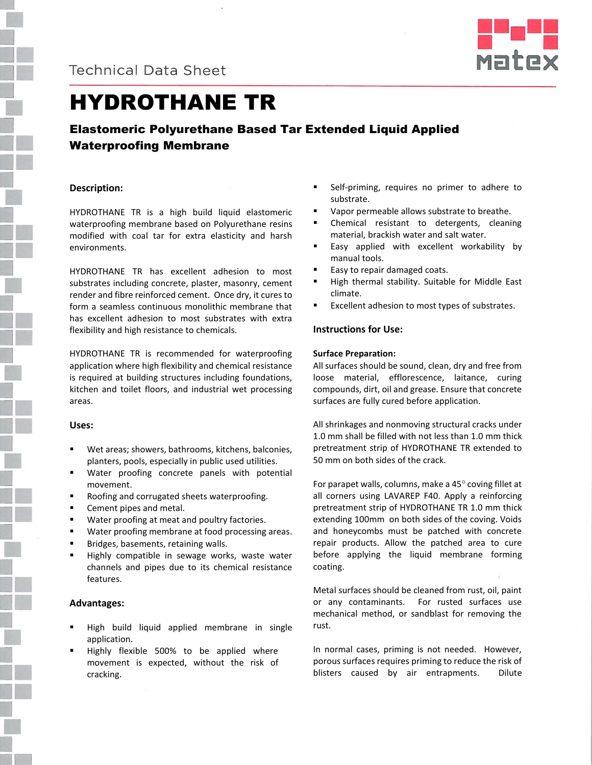



# HYDROTHANE TR

# Elastomeric Polyurethane Based Tar Extended Liquid Applied Waterproofing Membrane

# **Description:**

HYDROTHANE TR is a high build liquid elastomeric waterproofing membrane based on Polyurethane resins modified with coal tar for extra elasticity and harsh environments.

HYDROTHANE TR has excellent adhesion to most substrates including concrete, plaster, masonry, cement render and fibre reinforced cement. Once dry, it cures to form a seamless continuous monolithic membrane that has excellent adhesion to most substrates with extra flexibility and high resistance to chemicals.

HYDROTHANE TR is recommended for waterproofing application where high flexibility and chemical resistance is required at building structures including foundations, kitchen and toilet floors, and industrial wet processing areas.

### **Uses:**

- Wet areas; showers, bathrooms, kitchens, balconies, planters, pools, especially in public used utilities.
- Water proofing concrete panels with potential movement.
- Roofing and corrugated sheets waterproofing.
- Cement pipes and metal.
- **Water proofing at meat and poultry factories.**
- Water proofing membrane at food processing areas.
- Bridges, basements, retaining walls.
- Highly compatible in sewage works, waste water channels and pipes due to its chemical resistance features.

### **Advantages:**

- High build liquid applied membrane in single application.
- Highly flexible 500% to be applied where movement is expected, without the risk of cracking.
- Self-priming, requires no primer to adhere to substrate.
- Vapor permeable allows substrate to breathe.
- Chemical resistant to detergents, cleaning material, brackish water and salt water.
- Easy applied with excellent workability by manual tools.
- Easy to repair damaged coats.
- High thermal stability. Suitable for Middle East climate.
- Excellent adhesion to most types of substrates.

# **Instructions for Use:**

#### **Surface Preparation:**

All surfaces should be sound, clean, dry and free from loose material, efflorescence, laitance, curing compounds, dirt, oil and grease. Ensure that concrete surfaces are fully cured before application.

All shrinkages and nonmoving structural cracks under 1.0 mm shall be filled with not less than 1.0 mm thick pretreatment strip of HYDROTHANE TR extended to 50 mm on both sides of the crack.

For parapet walls, columns, make a  $45^\circ$  coving fillet at all corners using LAVAREP F40. Apply a reinforcing pretreatment strip of HYDROTHANE TR 1.0 mm thick extending 100mm on both sides of the coving. Voids and honeycombs must be patched with concrete repair products. Allow the patched area to cure before applying the liquid membrane forming coating.

Metal surfaces should be cleaned from rust, oil, paint or any contaminants. For rusted surfaces use mechanical method, or sandblast for removing the rust.

In normal cases, priming is not needed. However, porous surfaces requires priming to reduce the risk of blisters caused by air entrapments. Dilute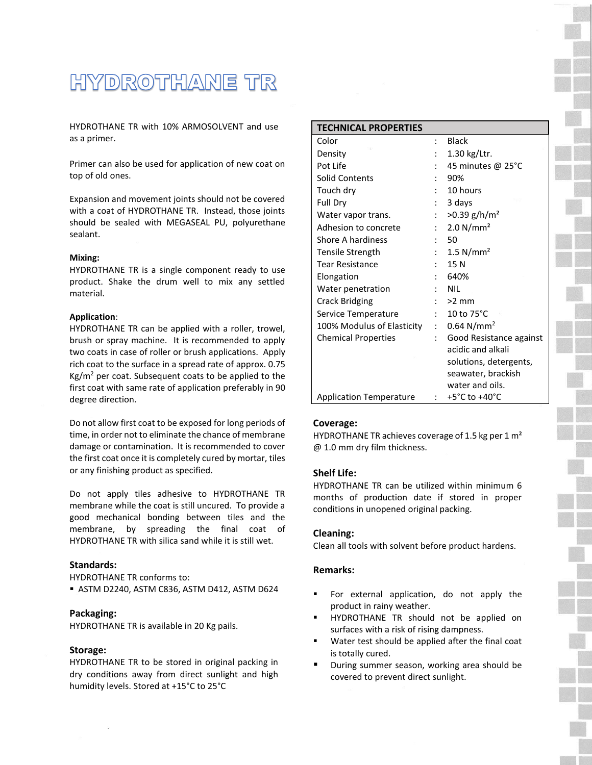# HYDROTHANE TR

HYDROTHANE TR with 10% ARMOSOLVENT and use as a primer.

Primer can also be used for application of new coat on top of old ones.

Expansion and movement joints should not be covered with a coat of HYDROTHANE TR. Instead, those joints should be sealed with MEGASEAL PU, polyurethane sealant.

#### **Mixing:**

HYDROTHANE TR is a single component ready to use product. Shake the drum well to mix any settled material.

#### **Application**:

HYDROTHANE TR can be applied with a roller, trowel, brush or spray machine. It is recommended to apply two coats in case of roller or brush applications. Apply rich coat to the surface in a spread rate of approx. 0.75  $Kg/m<sup>2</sup>$  per coat. Subsequent coats to be applied to the first coat with same rate of application preferably in 90 degree direction.

Do not allow first coat to be exposed for long periods of time, in order not to eliminate the chance of membrane damage or contamination. It is recommended to cover the first coat once it is completely cured by mortar, tiles or any finishing product as specified.

Do not apply tiles adhesive to HYDROTHANE TR membrane while the coat is still uncured. To provide a good mechanical bonding between tiles and the membrane, by spreading the final coat of HYDROTHANE TR with silica sand while it is still wet.

### **Standards:**

HYDROTHANE TR conforms to:

ASTM D2240, ASTM C836, ASTM D412, ASTM D624

### **Packaging:**

HYDROTHANE TR is available in 20 Kg pails.

#### **Storage:**

HYDROTHANE TR to be stored in original packing in dry conditions away from direct sunlight and high humidity levels. Stored at +15°C to 25°C

| <b>TECHNICAL PROPERTIES</b>    |                |                                   |
|--------------------------------|----------------|-----------------------------------|
| Color                          | $\cdot$        | <b>Black</b>                      |
| Density                        |                | $1.30$ kg/Ltr.                    |
| Pot Life                       |                | 45 minutes @ 25°C                 |
| <b>Solid Contents</b>          |                | 90%                               |
| Touch dry                      |                | 10 hours                          |
| Full Dry                       |                | 3 days                            |
| Water vapor trans.             |                | $>0.39$ g/h/m <sup>2</sup>        |
| Adhesion to concrete           | $\ddot{\cdot}$ | 2.0 N/mm <sup>2</sup>             |
| Shore A hardiness              |                | 50                                |
| Tensile Strength               | $\ddot{\cdot}$ | $1.5$ N/mm <sup>2</sup>           |
| <b>Tear Resistance</b>         |                | 15 N                              |
| Elongation                     |                | 640%                              |
| Water penetration              |                | <b>NIL</b>                        |
| <b>Crack Bridging</b>          |                | $>2$ mm                           |
| Service Temperature            | t.             | 10 to $75^{\circ}$ C              |
| 100% Modulus of Elasticity     | $\mathbf{r}$   | $0.64$ N/mm <sup>2</sup>          |
| <b>Chemical Properties</b>     |                | Good Resistance against           |
|                                |                | acidic and alkali                 |
|                                |                | solutions, detergents,            |
|                                |                | seawater, brackish                |
|                                |                | water and oils.                   |
| <b>Application Temperature</b> | $\mathcal{L}$  | $+5^{\circ}$ C to $+40^{\circ}$ C |

#### **Coverage:**

HYDROTHANE TR achieves coverage of 1.5 kg per 1  $m<sup>2</sup>$ @ 1.0 mm dry film thickness.

#### **Shelf Life:**

HYDROTHANE TR can be utilized within minimum 6 months of production date if stored in proper conditions in unopened original packing.

#### **Cleaning:**

Clean all tools with solvent before product hardens.

# **Remarks:**

- For external application, do not apply the product in rainy weather.
- HYDROTHANE TR should not be applied on surfaces with a risk of rising dampness.
- Water test should be applied after the final coat is totally cured.
- **During summer season, working area should be** covered to prevent direct sunlight.